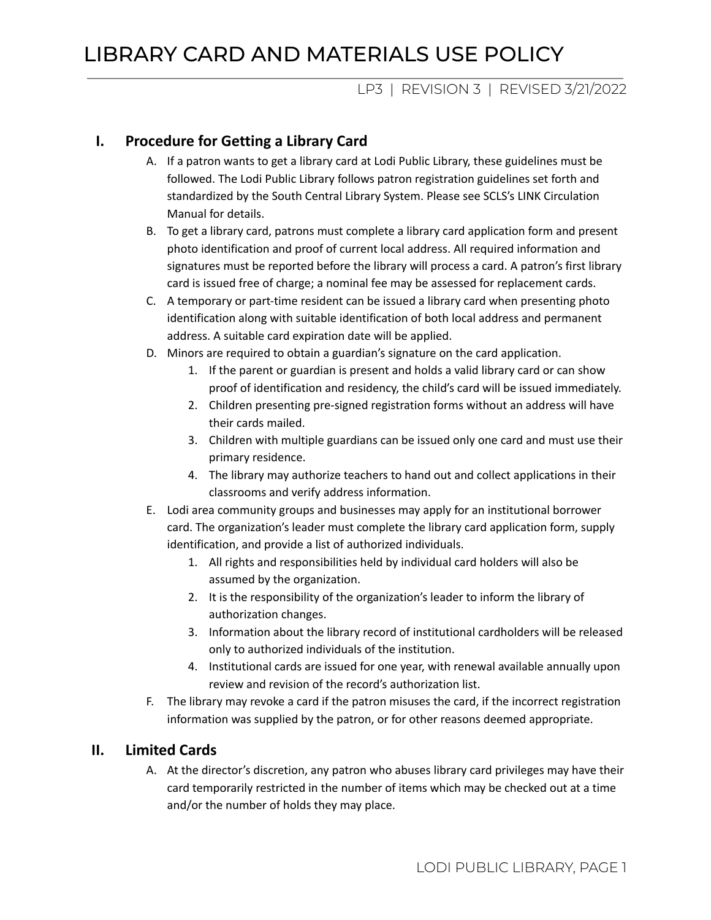## LP3 | REVISION 3 | REVISED 3/21/2022

### **I. Procedure for Getting a Library Card**

- A. If a patron wants to get a library card at Lodi Public Library, these guidelines must be followed. The Lodi Public Library follows patron registration guidelines set forth and standardized by the South Central Library System. Please see SCLS's LINK Circulation Manual for details.
- B. To get a library card, patrons must complete a library card application form and present photo identification and proof of current local address. All required information and signatures must be reported before the library will process a card. A patron's first library card is issued free of charge; a nominal fee may be assessed for replacement cards.
- C. A temporary or part-time resident can be issued a library card when presenting photo identification along with suitable identification of both local address and permanent address. A suitable card expiration date will be applied.
- D. Minors are required to obtain a guardian's signature on the card application.
	- 1. If the parent or guardian is present and holds a valid library card or can show proof of identification and residency, the child's card will be issued immediately.
	- 2. Children presenting pre-signed registration forms without an address will have their cards mailed.
	- 3. Children with multiple guardians can be issued only one card and must use their primary residence.
	- 4. The library may authorize teachers to hand out and collect applications in their classrooms and verify address information.
- E. Lodi area community groups and businesses may apply for an institutional borrower card. The organization's leader must complete the library card application form, supply identification, and provide a list of authorized individuals.
	- 1. All rights and responsibilities held by individual card holders will also be assumed by the organization.
	- 2. It is the responsibility of the organization's leader to inform the library of authorization changes.
	- 3. Information about the library record of institutional cardholders will be released only to authorized individuals of the institution.
	- 4. Institutional cards are issued for one year, with renewal available annually upon review and revision of the record's authorization list.
- F. The library may revoke a card if the patron misuses the card, if the incorrect registration information was supplied by the patron, or for other reasons deemed appropriate.

#### **II. Limited Cards**

A. At the director's discretion, any patron who abuses library card privileges may have their card temporarily restricted in the number of items which may be checked out at a time and/or the number of holds they may place.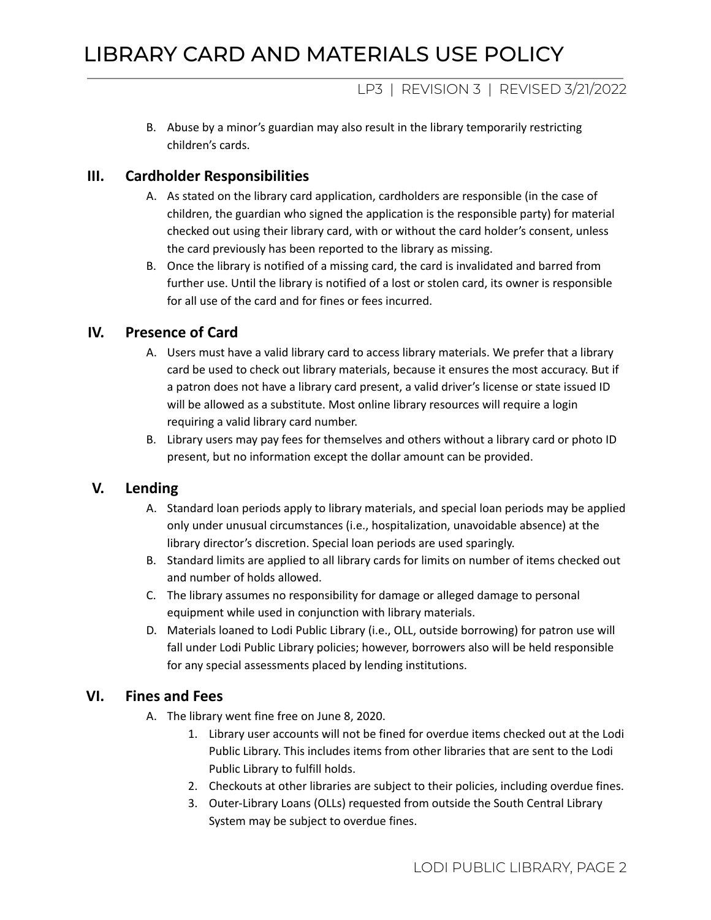# LP3 | REVISION 3 | REVISED 3/21/2022

B. Abuse by a minor's guardian may also result in the library temporarily restricting children's cards.

### **III. Cardholder Responsibilities**

- A. As stated on the library card application, cardholders are responsible (in the case of children, the guardian who signed the application is the responsible party) for material checked out using their library card, with or without the card holder's consent, unless the card previously has been reported to the library as missing.
- B. Once the library is notified of a missing card, the card is invalidated and barred from further use. Until the library is notified of a lost or stolen card, its owner is responsible for all use of the card and for fines or fees incurred.

# **IV. Presence of Card**

- A. Users must have a valid library card to access library materials. We prefer that a library card be used to check out library materials, because it ensures the most accuracy. But if a patron does not have a library card present, a valid driver's license or state issued ID will be allowed as a substitute. Most online library resources will require a login requiring a valid library card number.
- B. Library users may pay fees for themselves and others without a library card or photo ID present, but no information except the dollar amount can be provided.

# **V. Lending**

- A. Standard loan periods apply to library materials, and special loan periods may be applied only under unusual circumstances (i.e., hospitalization, unavoidable absence) at the library director's discretion. Special loan periods are used sparingly.
- B. Standard limits are applied to all library cards for limits on number of items checked out and number of holds allowed.
- C. The library assumes no responsibility for damage or alleged damage to personal equipment while used in conjunction with library materials.
- D. Materials loaned to Lodi Public Library (i.e., OLL, outside borrowing) for patron use will fall under Lodi Public Library policies; however, borrowers also will be held responsible for any special assessments placed by lending institutions.

# **VI. Fines and Fees**

- A. The library went fine free on June 8, 2020.
	- 1. Library user accounts will not be fined for overdue items checked out at the Lodi Public Library. This includes items from other libraries that are sent to the Lodi Public Library to fulfill holds.
	- 2. Checkouts at other libraries are subject to their policies, including overdue fines.
	- 3. Outer-Library Loans (OLLs) requested from outside the South Central Library System may be subject to overdue fines.